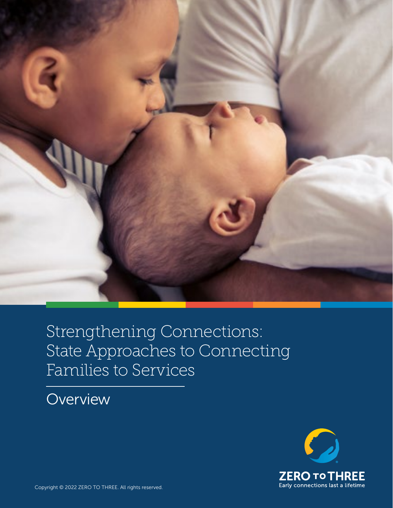

# Strengthening Connections: State Approaches to Connecting Families to Services

# **Overview**

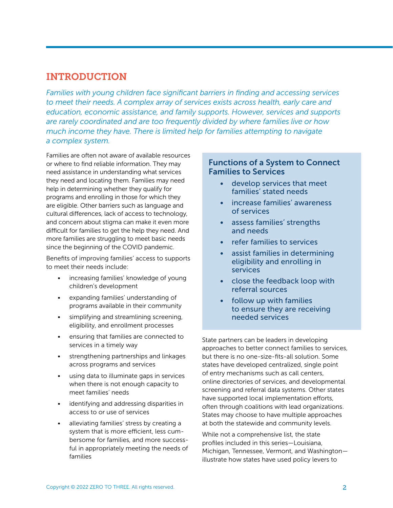# INTRODUCTION

*Families with young children face significant barriers in finding and accessing services to meet their needs. A complex array of services exists across health, early care and education, economic assistance, and family supports. However, services and supports are rarely coordinated and are too frequently divided by where families live or how much income they have. There is limited help for families attempting to navigate a complex system.* 

Families are often not aware of available resources or where to find reliable information. They may need assistance in understanding what services they need and locating them. Families may need help in determining whether they qualify for programs and enrolling in those for which they are eligible. Other barriers such as language and cultural differences, lack of access to technology, and concern about stigma can make it even more difficult for families to get the help they need. And more families are struggling to meet basic needs since the beginning of the COVID pandemic.

Benefits of improving families' access to supports to meet their needs include:

- increasing families' knowledge of young children's development
- expanding families' understanding of programs available in their community
- simplifying and streamlining screening, eligibility, and enrollment processes
- ensuring that families are connected to services in a timely way
- strengthening partnerships and linkages across programs and services
- using data to illuminate gaps in services when there is not enough capacity to meet families' needs
- identifying and addressing disparities in access to or use of services
- alleviating families' stress by creating a system that is more efficient, less cumbersome for families, and more successful in appropriately meeting the needs of families

## Functions of a System to Connect Families to Services

- develop services that meet families' stated needs
- increase families' awareness of services
- assess families' strengths and needs
- refer families to services
- assist families in determining eligibility and enrolling in services
- close the feedback loop with referral sources
- follow up with families to ensure they are receiving needed services

State partners can be leaders in developing approaches to better connect families to services, but there is no one-size-fits-all solution. Some states have developed centralized, single point of entry mechanisms such as call centers, online directories of services, and developmental screening and referral data systems. Other states have supported local implementation efforts, often through coalitions with lead organizations. States may choose to have multiple approaches at both the statewide and community levels.

While not a comprehensive list, the state profiles included in this series—Louisiana, Michigan, Tennessee, Vermont, and Washington illustrate how states have used policy levers to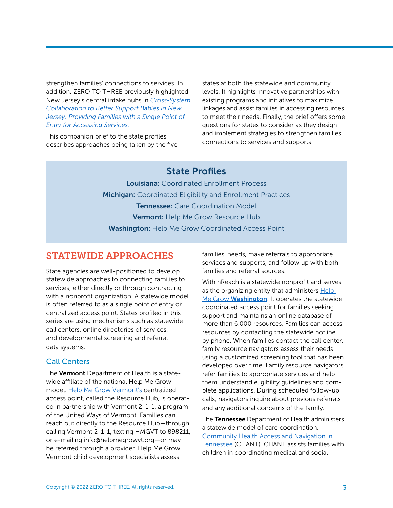strengthen families' connections to services. In addition, ZERO TO THREE previously highlighted New Jersey's central intake hubs in *[Cross-System](https://www.zerotothree.org/resources/2598-cross-system-collaboration-to-better-support-babies-in-new-jersey-providing-families-with-a-single-point-of-entry-for-accessing-services)  [Collaboration to Better Support Babies in New](https://www.zerotothree.org/resources/2598-cross-system-collaboration-to-better-support-babies-in-new-jersey-providing-families-with-a-single-point-of-entry-for-accessing-services)  [Jersey: Providing Families with a Single Point of](https://www.zerotothree.org/resources/2598-cross-system-collaboration-to-better-support-babies-in-new-jersey-providing-families-with-a-single-point-of-entry-for-accessing-services)  [Entry for Accessing Services](https://www.zerotothree.org/resources/2598-cross-system-collaboration-to-better-support-babies-in-new-jersey-providing-families-with-a-single-point-of-entry-for-accessing-services).*

This companion brief to the state profiles describes approaches being taken by the five states at both the statewide and community levels. It highlights innovative partnerships with existing programs and initiatives to maximize linkages and assist families in accessing resources to meet their needs. Finally, the brief offers some questions for states to consider as they design and implement strategies to strengthen families' connections to services and supports.

## State Profiles

Louisiana: [Coordinated Enrollment Process](https://www.zerotothree.org/resources/4310-strengthening-connections-louisiana-s-coordinated-enrollment-process)  Michigan: [Coordinated Eligibility and Enrollment Practices](https://www.zerotothree.org/resources/4311-strengthening-connections-michigan-s-coordinated-eligibility-and-enrollment-practices)  Tennessee: [Care Coordination Model](https://www.zerotothree.org/resources/4312-strengthening-connections-tennessee-s-care-coordination-model)  Vermont: [Help Me Grow Resource Hub](https://www.zerotothree.org/resources/4313-strengthening-connections-vermont-s-help-me-grow-resource-hub)  Washington: Help Me Grow Coordinated Access Point

# STATEWIDE APPROACHES

State agencies are well-positioned to develop statewide approaches to connecting families to services, either directly or through contracting with a nonprofit organization. A statewide model is often referred to as a single point of entry or centralized access point. States profiled in this series are using mechanisms such as statewide call centers, online directories of services, and developmental screening and referral data systems.

#### Call Centers

The Vermont Department of Health is a statewide affiliate of the national Help Me Grow model. [Help Me Grow Vermont's](http://www.helpmegrowvt.org) centralized access point, called the Resource Hub, is operated in partnership with Vermont 2-1-1, a program of the United Ways of Vermont. Families can reach out directly to the Resource Hub—through calling Vermont 2-1-1, texting HMGVT to 898211, or e-mailing info@helpmegrowvt.org—or may be referred through a provider. Help Me Grow Vermont child development specialists assess

families' needs, make referrals to appropriate services and supports, and follow up with both families and referral sources.

WithinReach is a statewide nonprofit and serves as the organizing entity that administers Help Me Grow [Washington](http://www.helpmegrowwa.org). It operates the statewide coordinated access point for families seeking support and maintains an online database of more than 6,000 resources. Families can access resources by contacting the statewide hotline by phone. When families contact the call center, family resource navigators assess their needs using a customized screening tool that has been developed over time. Family resource navigators refer families to appropriate services and help them understand eligibility guidelines and complete applications. During scheduled follow-up calls, navigators inquire about previous referrals and any additional concerns of the family.

The Tennessee Department of Health administers a statewide model of care coordination, [Community Health Access and Navigation in](https://www.tn.gov/health/health-program-areas/fhw/early-childhood-program/chant.html)  [Tennessee](https://www.tn.gov/health/health-program-areas/fhw/early-childhood-program/chant.html) (CHANT). CHANT assists families with children in coordinating medical and social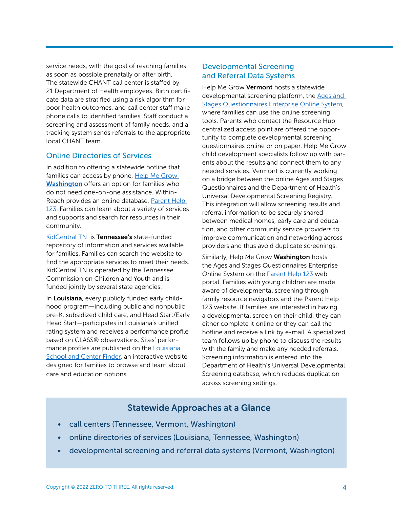service needs, with the goal of reaching families as soon as possible prenatally or after birth. The statewide CHANT call center is staffed by 21 Department of Health employees. Birth certificate data are stratified using a risk algorithm for poor health outcomes, and call center staff make phone calls to identified families. Staff conduct a screening and assessment of family needs, and a tracking system sends referrals to the appropriate local CHANT team.

#### Online Directories of Services

In addition to offering a statewide hotline that families can access by phone, [Help Me Grow](http://www.helpmegrowwa.org)  [Washington](http://www.helpmegrowwa.org) offers an option for families who do not need one-on-one assistance. Within-Reach provides an online database, [Parent Help](http://www.parenthelp123.org)  [123.](http://www.parenthelp123.org) Families can learn about a variety of services and supports and search for resources in their community.

[KidCentral TN](https://www.kidcentraltn.com) is Tennessee's state-funded repository of information and services available for families. Families can search the website to find the appropriate services to meet their needs. KidCentral TN is operated by the Tennessee Commission on Children and Youth and is funded jointly by several state agencies.

In Louisiana, every publicly funded early childhood program—including public and nonpublic pre-K, subsidized child care, and Head Start/Early Head Start—participates in Louisiana's unified rating system and receives a performance profile based on CLASS® observations. Sites' performance profiles are published on the Louisiana [School and Center Finder](http://www.louisianaschools.com), an interactive website designed for families to browse and learn about care and education options.

#### Developmental Screening and Referral Data Systems

Help Me Grow Vermont hosts a statewide developmental screening platform, the [Ages and](https://helpmegrowvt.org/ages-stages-questionnaire)  [Stages Questionnaires Enterprise Online System](https://helpmegrowvt.org/ages-stages-questionnaire), where families can use the online screening tools. Parents who contact the Resource Hub centralized access point are offered the opportunity to complete developmental screening questionnaires online or on paper. Help Me Grow child development specialists follow up with parents about the results and connect them to any needed services. Vermont is currently working on a bridge between the online Ages and Stages Questionnaires and the Department of Health's Universal Developmental Screening Registry. This integration will allow screening results and referral information to be securely shared between medical homes, early care and education, and other community service providers to improve communication and networking across providers and thus avoid duplicate screenings.

Similarly, Help Me Grow Washington hosts the Ages and Stages Questionnaires Enterprise Online System on the [Parent Help 123](http://www.parenthelp123.org) web portal. Families with young children are made aware of developmental screening through family resource navigators and the Parent Help 123 website. If families are interested in having a developmental screen on their child, they can either complete it online or they can call the hotline and receive a link by e-mail. A specialized team follows up by phone to discuss the results with the family and make any needed referrals. Screening information is entered into the Department of Health's Universal Developmental Screening database, which reduces duplication across screening settings.

## Statewide Approaches at a Glance

- call centers (Tennessee, Vermont, Washington)
- online directories of services (Louisiana, Tennessee, Washington)
- developmental screening and referral data systems (Vermont, Washington)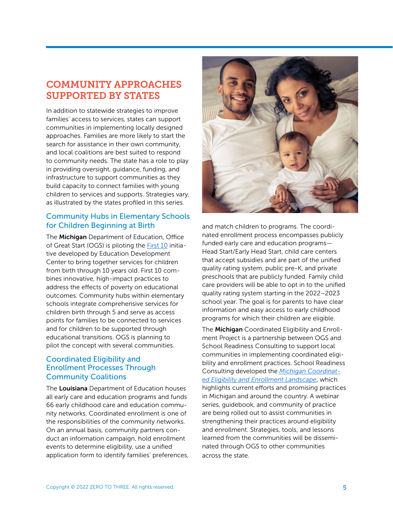# COMMUNITY APPROACHES SUPPORTED BY STATES

In addition to statewide strategies to improve families' access to services, states can support communities in implementing locally designed approaches. Families are more likely to start the search for assistance in their own community, and local coalitions are best suited to respond to community needs. The state has a role to play in providing oversight, guidance, funding, and infrastructure to support communities as they build capacity to connect families with young children to services and supports. Strategies vary, as illustrated by the states profiled in this series.

#### Community Hubs in Elementary Schools for Children Beginning at Birth

The Michigan Department of Education, Office of Great Start (OGS) is piloting the [First 10](https://first10.org/) initiative developed by Education Development Center to bring together services for children from birth through 10 years old. First 10 combines innovative, high-impact practices to address the effects of poverty on educational outcomes. Community hubs within elementary schools integrate comprehensive services for children birth through 5 and serve as access points for families to be connected to services and for children to be supported through educational transitions. OGS is planning to pilot the concept with several communities.

#### Coordinated Eligibility and Enrollment Processes Through Community Coalitions

The Louisiana Department of Education houses all early care and education programs and funds 66 early childhood care and education community networks. Coordinated enrollment is one of the responsibilities of the community networks. On an annual basis, community partners conduct an information campaign, hold enrollment events to determine eligibility, use a unified application form to identify families' preferences,



and match children to programs. The coordinated enrollment process encompasses publicly funded early care and education programs— Head Start/Early Head Start, child care centers that accept subsidies and are part of the unified quality rating system, public pre-K, and private preschools that are publicly funded. Family child care providers will be able to opt in to the unified quality rating system starting in the 2022–2023 school year. The goal is for parents to have clear information and easy access to early childhood programs for which their children are eligible.

The Michigan Coordinated Eligibility and Enrollment Project is a partnership between OGS and School Readiness Consulting to support local communities in implementing coordinated eligibility and enrollment practices. School Readiness Consulting developed the *[Michigan Coordinat](https://www.michigan.gov/documents/mde/MI_CEE_Landscape_Report_735984_7.pdf)[ed Eligibility and Enrollment Landscape](https://www.michigan.gov/documents/mde/MI_CEE_Landscape_Report_735984_7.pdf)*, which highlights current efforts and promising practices in Michigan and around the country. A webinar series, guidebook, and community of practice are being rolled out to assist communities in strengthening their practices around eligibility and enrollment. Strategies, tools, and lessons learned from the communities will be disseminated through OGS to other communities across the state.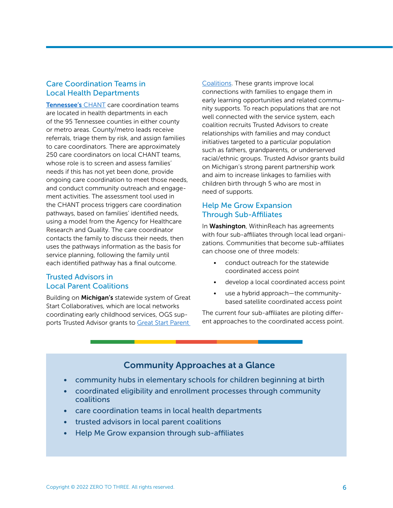#### Care Coordination Teams in Local Health Departments

[Tennessee's](https://www.tn.gov/health/health-program-areas/fhw/early-childhood-program/chant.html) CHANT care coordination teams are located in health departments in each of the 95 Tennessee counties in either county or metro areas. County/metro leads receive referrals, triage them by risk, and assign families to care coordinators. There are approximately 250 care coordinators on local CHANT teams, whose role is to screen and assess families' needs if this has not yet been done, provide ongoing care coordination to meet those needs, and conduct community outreach and engagement activities. The assessment tool used in the CHANT process triggers care coordination pathways, based on families' identified needs, using a model from the Agency for Healthcare Research and Quality. The care coordinator contacts the family to discuss their needs, then uses the pathways information as the basis for service planning, following the family until each identified pathway has a final outcome.

#### Trusted Advisors in Local Parent Coalitions

Building on Michigan's statewide system of Great Start Collaboratives, which are local networks coordinating early childhood services, OGS supports Trusted Advisor grants to Great Start Parent

[Coalitions.](https://www.michigan.gov/mikidsmatter/0,9220,7-376-101702-511306--,00.html) These grants improve local connections with families to engage them in early learning opportunities and related community supports. To reach populations that are not well connected with the service system, each coalition recruits Trusted Advisors to create relationships with families and may conduct initiatives targeted to a particular population such as fathers, grandparents, or underserved racial/ethnic groups. Trusted Advisor grants build on Michigan's strong parent partnership work and aim to increase linkages to families with children birth through 5 who are most in need of supports.

### Help Me Grow Expansion Through Sub-Affiliates

In Washington, WithinReach has agreements with four sub-affiliates through local lead organizations. Communities that become sub-affiliates can choose one of three models:

- conduct outreach for the statewide coordinated access point
- develop a local coordinated access point
- use a hybrid approach—the communitybased satellite coordinated access point

The current four sub-affiliates are piloting different approaches to the coordinated access point.

## Community Approaches at a Glance

- community hubs in elementary schools for children beginning at birth
- coordinated eligibility and enrollment processes through community coalitions
- care coordination teams in local health departments
- trusted advisors in local parent coalitions
- Help Me Grow expansion through sub-affiliates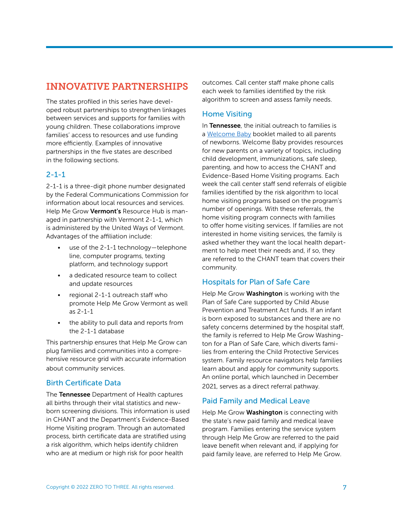# INNOVATIVE PARTNERSHIPS

The states profiled in this series have developed robust partnerships to strengthen linkages between services and supports for families with young children. These collaborations improve families' access to resources and use funding more efficiently. Examples of innovative partnerships in the five states are described in the following sections.

#### $2 - 1 - 1$

2-1-1 is a three-digit phone number designated by the Federal Communications Commission for information about local resources and services. Help Me Grow Vermont's Resource Hub is managed in partnership with Vermont 2-1-1, which is administered by the United Ways of Vermont. Advantages of the affiliation include:

- use of the 2-1-1 technology-telephone line, computer programs, texting platform, and technology support
- a dedicated resource team to collect and update resources
- regional 2-1-1 outreach staff who promote Help Me Grow Vermont as well as 2-1-1
- the ability to pull data and reports from the 2-1-1 database

This partnership ensures that Help Me Grow can plug families and communities into a comprehensive resource grid with accurate information about community services.

#### Birth Certificate Data

The Tennessee Department of Health captures all births through their vital statistics and newborn screening divisions. This information is used in CHANT and the Department's Evidence-Based Home Visiting program. Through an automated process, birth certificate data are stratified using a risk algorithm, which helps identify children who are at medium or high risk for poor health

outcomes. Call center staff make phone calls each week to families identified by the risk algorithm to screen and assess family needs.

#### Home Visiting

In Tennessee, the initial outreach to families is a [Welcome Baby](https://www.tn.gov/health/health-program-areas/fhw/early-childhood-program/welcome-baby.html) booklet mailed to all parents of newborns. Welcome Baby provides resources for new parents on a variety of topics, including child development, immunizations, safe sleep, parenting, and how to access the CHANT and Evidence-Based Home Visiting programs. Each week the call center staff send referrals of eligible families identified by the risk algorithm to local home visiting programs based on the program's number of openings. With these referrals, the home visiting program connects with families to offer home visiting services. If families are not interested in home visiting services, the family is asked whether they want the local health department to help meet their needs and, if so, they are referred to the CHANT team that covers their community.

### Hospitals for Plan of Safe Care

Help Me Grow Washington is working with the Plan of Safe Care supported by Child Abuse Prevention and Treatment Act funds. If an infant is born exposed to substances and there are no safety concerns determined by the hospital staff, the family is referred to Help Me Grow Washington for a Plan of Safe Care, which diverts families from entering the Child Protective Services system. Family resource navigators help families learn about and apply for community supports. An online portal, which launched in December 2021, serves as a direct referral pathway.

#### Paid Family and Medical Leave

Help Me Grow Washington is connecting with the state's new paid family and medical leave program. Families entering the service system through Help Me Grow are referred to the paid leave benefit when relevant and, if applying for paid family leave, are referred to Help Me Grow.